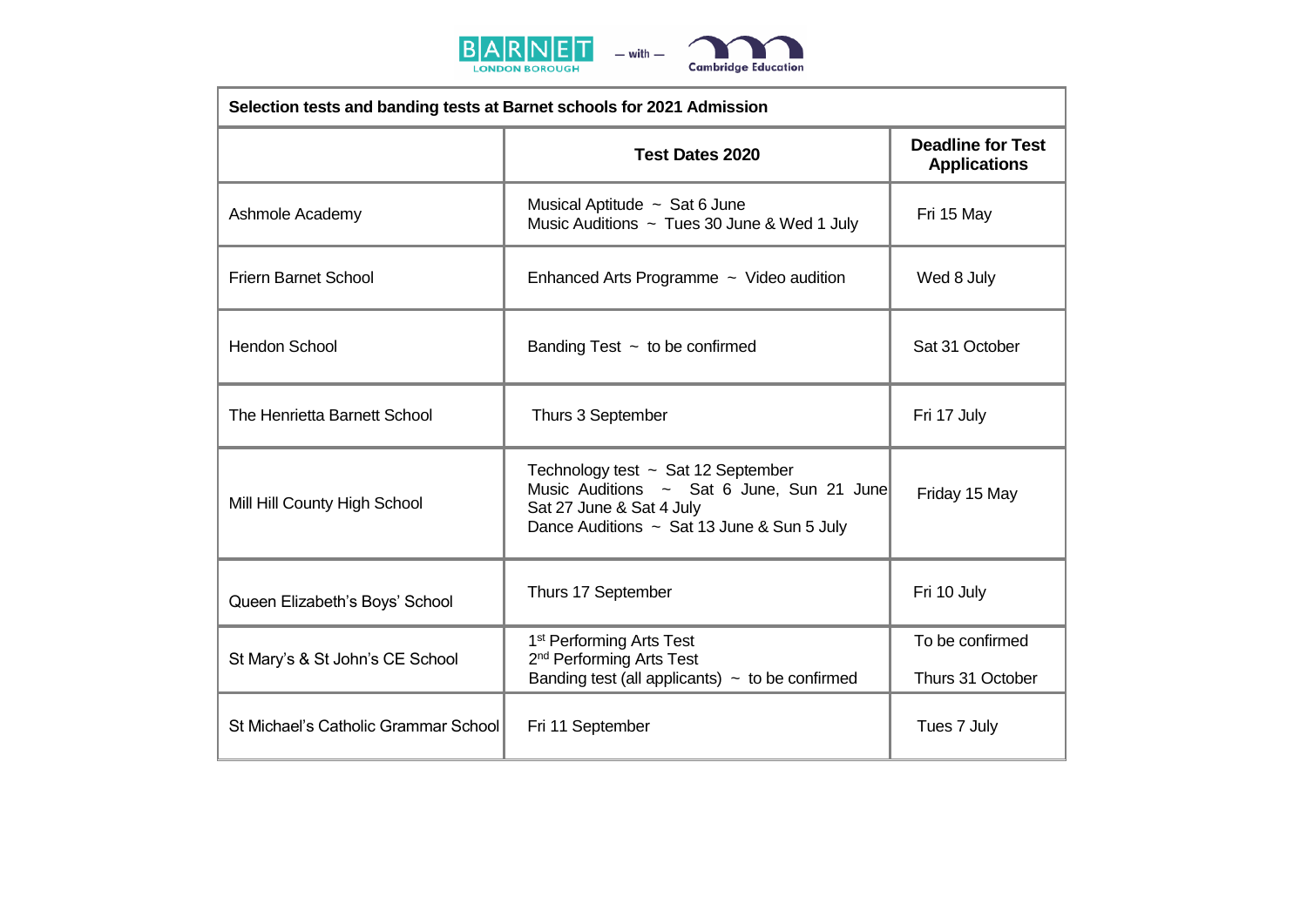



| Selection tests and banding tests at Barnet schools for 2021 Admission |                                                                                                                                                                |                                                 |  |  |
|------------------------------------------------------------------------|----------------------------------------------------------------------------------------------------------------------------------------------------------------|-------------------------------------------------|--|--|
|                                                                        | <b>Test Dates 2020</b>                                                                                                                                         | <b>Deadline for Test</b><br><b>Applications</b> |  |  |
| Ashmole Academy                                                        | Musical Aptitude ~ Sat 6 June<br>Music Auditions ~ Tues 30 June & Wed 1 July                                                                                   | Fri 15 May                                      |  |  |
| <b>Friern Barnet School</b>                                            | Enhanced Arts Programme ~ Video audition                                                                                                                       | Wed 8 July                                      |  |  |
| <b>Hendon School</b>                                                   | Banding Test $\sim$ to be confirmed                                                                                                                            | Sat 31 October                                  |  |  |
| The Henrietta Barnett School                                           | Thurs 3 September                                                                                                                                              | Fri 17 July                                     |  |  |
| Mill Hill County High School                                           | Technology test $\sim$ Sat 12 September<br>Music Auditions ~ Sat 6 June, Sun 21 June<br>Sat 27 June & Sat 4 July<br>Dance Auditions ~ Sat 13 June & Sun 5 July | Friday 15 May                                   |  |  |
| Queen Elizabeth's Boys' School                                         | Thurs 17 September                                                                                                                                             | Fri 10 July                                     |  |  |
| St Mary's & St John's CE School                                        | 1 <sup>st</sup> Performing Arts Test<br>2 <sup>nd</sup> Performing Arts Test<br>Banding test (all applicants) $\sim$ to be confirmed                           | To be confirmed<br>Thurs 31 October             |  |  |
| St Michael's Catholic Grammar School                                   | Fri 11 September                                                                                                                                               | Tues 7 July                                     |  |  |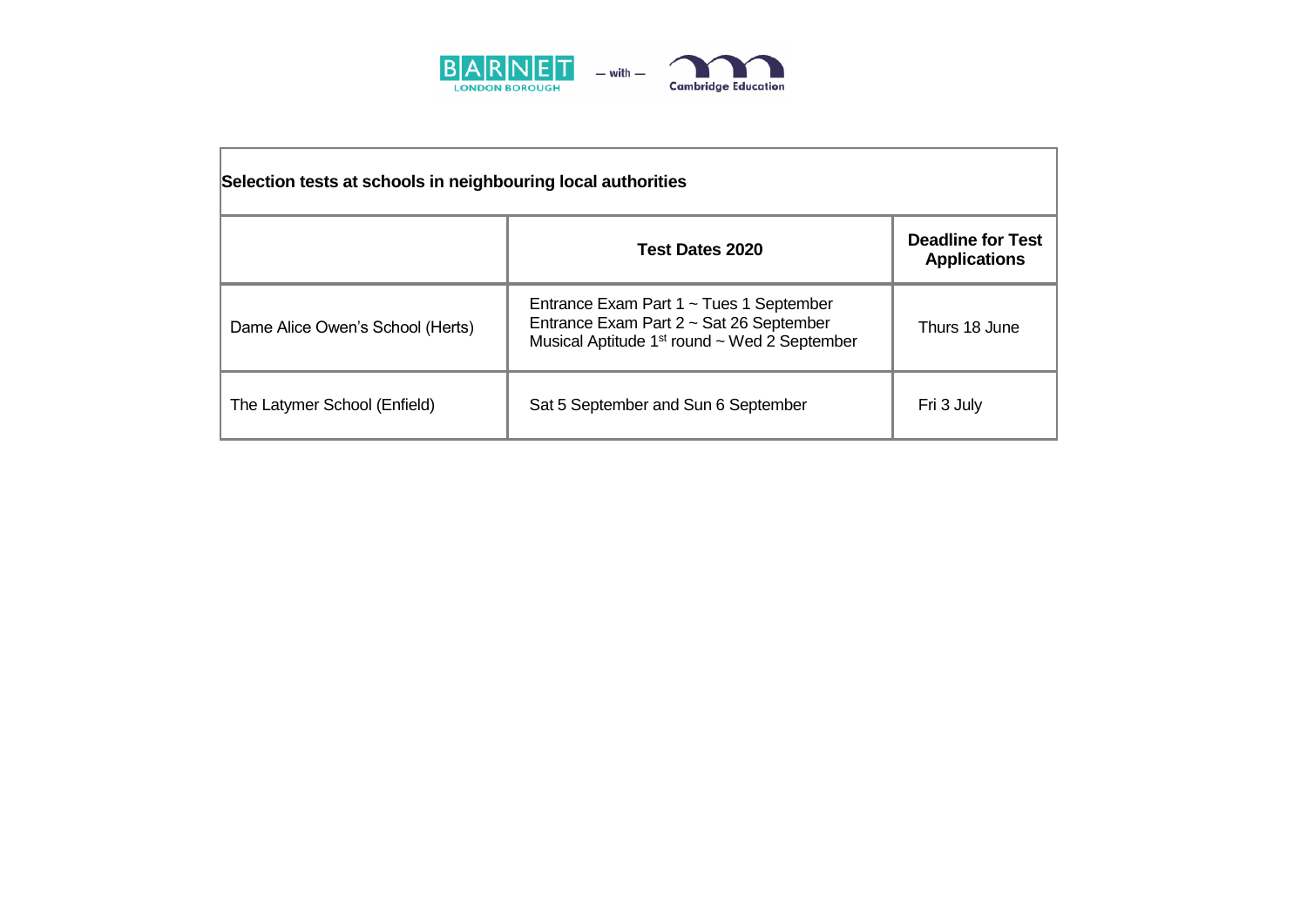

| Selection tests at schools in neighbouring local authorities |                                                                                                                                                     |                                                 |  |  |
|--------------------------------------------------------------|-----------------------------------------------------------------------------------------------------------------------------------------------------|-------------------------------------------------|--|--|
|                                                              | Test Dates 2020                                                                                                                                     | <b>Deadline for Test</b><br><b>Applications</b> |  |  |
| Dame Alice Owen's School (Herts)                             | Entrance Exam Part $1 \sim$ Tues 1 September<br>Entrance Exam Part 2 ~ Sat 26 September<br>Musical Aptitude 1 <sup>st</sup> round ~ Wed 2 September | Thurs 18 June                                   |  |  |
| The Latymer School (Enfield)                                 | Sat 5 September and Sun 6 September                                                                                                                 | Fri 3 July                                      |  |  |